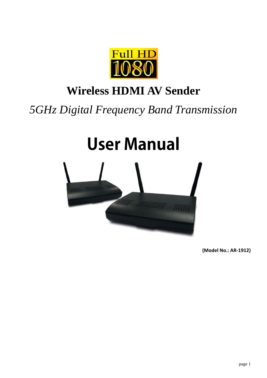

# **Wireless HDMI AV Sender**

*5GHz Digital Frequency Band Transmission*

# **User Manual**



 **(Model No.: AR‐1912)**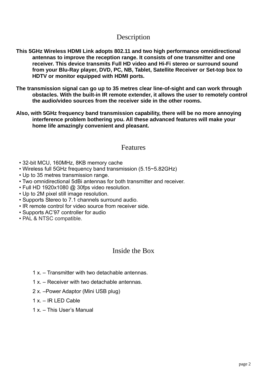# Description

- **This 5GHz Wireless HDMI Link adopts 802.11 and two high performance omnidirectional antennas to improve the reception range. It consists of one transmitter and one receiver. This device transmits Full HD video and Hi-Fi stereo or surround sound from your Blu-Ray player, DVD, PC, NB, Tablet, Satellite Receiver or Set-top box to HDTV or monitor equipped with HDMI ports.**
- **The transmission signal can go up to 35 metres clear line-of-sight and can work through obstacles. With the built-in IR remote extender, it allows the user to remotely control the audio/video sources from the receiver side in the other rooms.**
- **Also, with 5GHz frequency band transmission capability, there will be no more annoying interference problem bothering you. All these advanced features will make your home life amazingly convenient and pleasant.**

# Features

- 32-bit MCU, 160MHz, 8KB memory cache
- Wireless full 5GHz frequency band transmission (5.15~5.82GHz)
- Up to 35 metres transmission range.
- Two omnidirectional 5dBi antennas for both transmitter and receiver.
- Full HD 1920x1080 @ 30fps video resolution.
- Up to 2M pixel still image resolution.
- Supports Stereo to 7.1 channels surround audio.
- IR remote control for video source from receiver side.
- Supports AC'97 controller for audio
- PAL & NTSC compatible.

### Inside the Box

- 1 x. Transmitter with two detachable antennas.
- 1 x. Receiver with two detachable antennas.
- 2 x. –Power Adaptor (Mini USB plug)
- 1 x. IR LED Cable
- 1 x. This User's Manual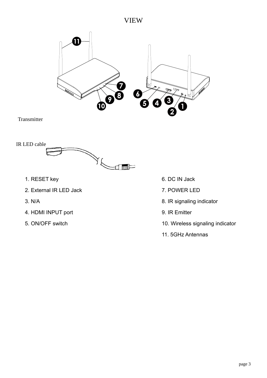# VIEW



**Transmitter** 



- 1. RESET key 6. DC IN Jack
- 2. External IR LED Jack 7. POWER LED
- 
- 4. HDMI INPUT port 9. IR Emitter
- 
- 
- 
- 3. N/A 8. IR signaling indicator
	-
- 5. ON/OFF switch 10. Wireless signaling indicator
	- 11. 5GHz Antennas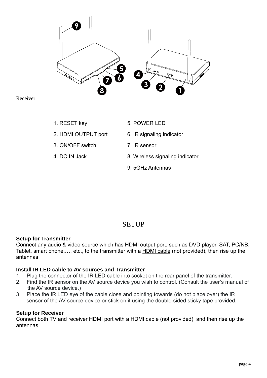

Receiver

- 
- 
- 3. ON/OFF switch 7. IR sensor
- 
- 1. RESET key 5. POWER LED
- 2. HDMI OUTPUT port 6. IR signaling indicator
	-
- 4. DC IN Jack 8. Wireless signaling indicator
	- 9. 5GHz Antennas

# **SETUP**

#### **Setup for Transmitter**

Connect any audio & video source which has HDMI output port, such as DVD player, SAT, PC/NB, Tablet, smart phone,…, etc., to the transmitter with a HDMI cable (not provided), then rise up the antennas.

#### **Install IR LED cable to AV sources and Transmitter**

- 1. Plug the connector of the IR LED cable into socket on the rear panel of the transmitter.
- 2. Find the IR sensor on the AV source device you wish to control. (Consult the user's manual of the AV source device.)
- 3. Place the IR LED eye of the cable close and pointing towards (do not place over) the IR sensor of the AV source device or stick on it using the double-sided sticky tape provided.

#### **Setup for Receiver**

Connect both TV and receiver HDMI port with a HDMI cable (not provided), and then rise up the antennas.